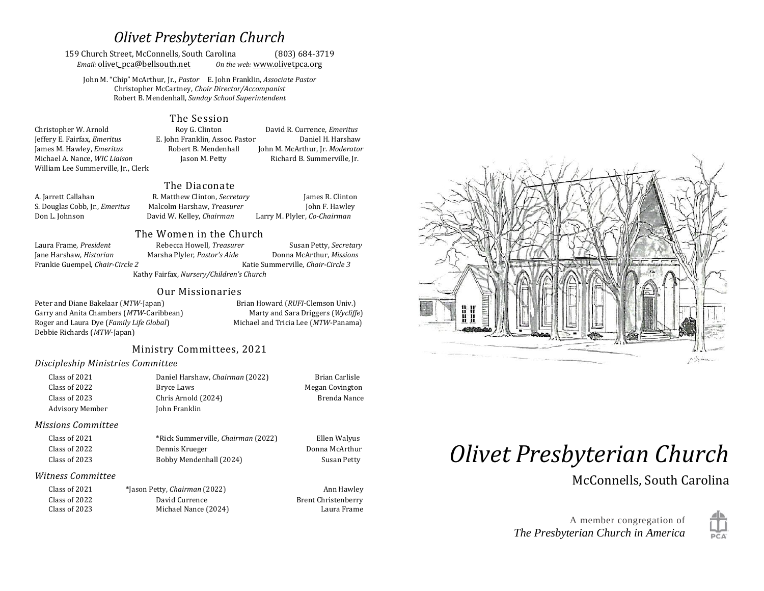# *Olivet Presbyterian Church*

159 Church Street, McConnells, South Carolina (803) 684-3719 *Email:* **olivet** pca@bellsouth.net *On the web:* [www.olivet](http://www.olivet/)pca.org

John M. "Chip" McArthur, Jr., *Pastor* E. John Franklin, *Associate Pastor* Christopher McCartney, *Choir Director/Accompanist* Robert B. Mendenhall, *Sunday School Superintendent*

#### The Session

Jeffery E. Fairfax, *Emeritus* E. John Franklin, Assoc. Pastor Daniel H. Harshaw Michael A. Nance, *WIC Liaison* Jason M. Petty Richard B. Summerville, Jr. William Lee Summerville, Jr., Clerk

Christopher W. Arnold Roy G. Clinton David R. Currence, *Emeritus* James M. Hawley, *Emeritus* Robert B. Mendenhall John M. McArthur, Jr. *Moderator*

#### The Diaconate

| A. Jarrett Callahan                   | R. Matthew Clinton, Secretary | James R. Clinton             |
|---------------------------------------|-------------------------------|------------------------------|
| S. Douglas Cobb, Jr., <i>Emeritus</i> | Malcolm Harshaw, Treasurer    | John F. Hawley               |
| Don L. Johnson                        | David W. Kelley, Chairman     | Larry M. Plyler, Co-Chairman |

#### The Women in the Church

Frankie Guempel, *Chair-Circle 2* Katie Summerville, *Chair-Circle 3*

Laura Frame, *President* Rebecca Howell, *Treasurer* Susan Petty, *Secretary*  Jane Harshaw, *Historian* Marsha Plyler, *Pastor's Aide* Donna McArthur, *Missions*

Kathy Fairfax, *Nursery/Children's Church*

#### Our Missionaries

Peter and Diane Bakelaar (*MTW*-Japan) Brian Howard (*RUFI*-Clemson Univ.) Garry and Anita Chambers (*MTW*-Caribbean) Marty and Sara Driggers (*Wycliffe*) Roger and Laura Dye (*Family Life Global*) Michael and Tricia Lee (*MTW*-Panama) Debbie Richards (*MTW*-Japan)

### Ministry Committees, 2021

#### *Discipleship Ministries Committee*

| Class of 2021   | Daniel Harshaw, Chairman (2022) | Brian Carlisle  |
|-----------------|---------------------------------|-----------------|
| Class of 2022   | Bryce Laws                      | Megan Covington |
| Class of 2023   | Chris Arnold (2024)             | Brenda Nance    |
| Advisory Member | John Franklin                   |                 |
|                 |                                 |                 |

#### *Missions Committee*

| Class of 2021 | *Rick Summerville, <i>Chairman</i> (2022) | Ellen Walyus   |
|---------------|-------------------------------------------|----------------|
| Class of 2022 | Dennis Krueger                            | Donna McArthur |
| Class of 2023 | Bobby Mendenhall (2024)                   | Susan Petty    |

#### *Witness Committee*

| Class of 2021 | *Jason Petty, Chairman (2022) |
|---------------|-------------------------------|
| Class of 2022 | David Currence                |
| Class of 2023 | Michael Nance (2024)          |

**Ann Hawley** Brent Christenberry Laura Frame



# *Olivet Presbyterian Church*

McConnells, South Carolina

A member congregation of *The Presbyterian Church in America*

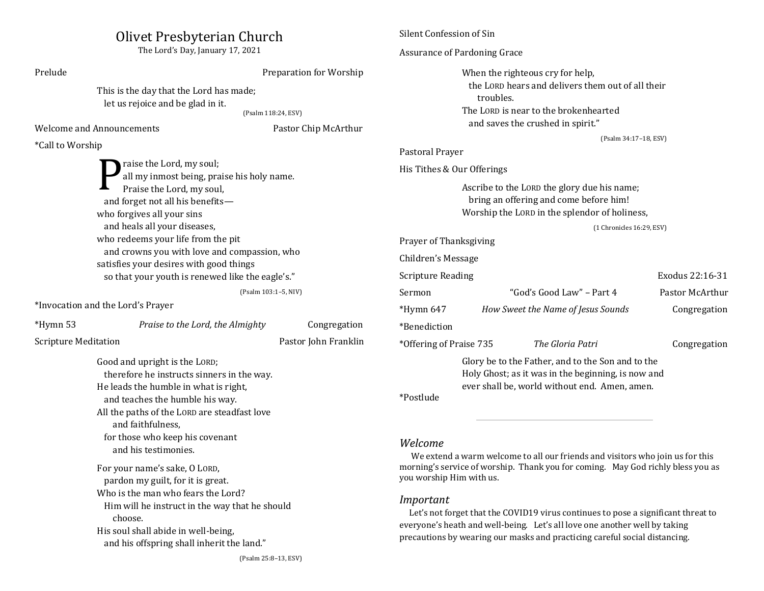| Olivet Presbyterian Church<br>The Lord's Day, January 17, 2021                                                                                                                                                                                                                                                        |                                                                                                                                                                                                                              | Silent Confession of Sin                                                                                                                                                                                                                                                                                                                                                                                                                                              |                                                                                                                                             |                                    |                                                                                                                                                          |                 |
|-----------------------------------------------------------------------------------------------------------------------------------------------------------------------------------------------------------------------------------------------------------------------------------------------------------------------|------------------------------------------------------------------------------------------------------------------------------------------------------------------------------------------------------------------------------|-----------------------------------------------------------------------------------------------------------------------------------------------------------------------------------------------------------------------------------------------------------------------------------------------------------------------------------------------------------------------------------------------------------------------------------------------------------------------|---------------------------------------------------------------------------------------------------------------------------------------------|------------------------------------|----------------------------------------------------------------------------------------------------------------------------------------------------------|-----------------|
|                                                                                                                                                                                                                                                                                                                       |                                                                                                                                                                                                                              | Assurance of Pardoning Grace                                                                                                                                                                                                                                                                                                                                                                                                                                          |                                                                                                                                             |                                    |                                                                                                                                                          |                 |
| Prelude                                                                                                                                                                                                                                                                                                               | Preparation for Worship<br>This is the day that the Lord has made;<br>let us rejoice and be glad in it.<br>(Psalm 118:24, ESV)<br><b>Welcome and Announcements</b><br>Pastor Chip McArthur                                   |                                                                                                                                                                                                                                                                                                                                                                                                                                                                       | When the righteous cry for help,<br>the LORD hears and delivers them out of all their<br>troubles.<br>The LORD is near to the brokenhearted |                                    |                                                                                                                                                          |                 |
|                                                                                                                                                                                                                                                                                                                       |                                                                                                                                                                                                                              |                                                                                                                                                                                                                                                                                                                                                                                                                                                                       |                                                                                                                                             |                                    | and saves the crushed in spirit."                                                                                                                        |                 |
| *Call to Worship                                                                                                                                                                                                                                                                                                      |                                                                                                                                                                                                                              |                                                                                                                                                                                                                                                                                                                                                                                                                                                                       | (Psalm 34:17-18, ESV)<br>Pastoral Prayer                                                                                                    |                                    |                                                                                                                                                          |                 |
|                                                                                                                                                                                                                                                                                                                       | raise the Lord, my soul;<br>all my inmost being, praise his holy name.                                                                                                                                                       |                                                                                                                                                                                                                                                                                                                                                                                                                                                                       | His Tithes & Our Offerings                                                                                                                  |                                    |                                                                                                                                                          |                 |
| Praise the Lord, my soul,<br>and forget not all his benefits-<br>who forgives all your sins                                                                                                                                                                                                                           |                                                                                                                                                                                                                              | Ascribe to the LORD the glory due his name;<br>bring an offering and come before him!<br>Worship the LORD in the splendor of holiness,                                                                                                                                                                                                                                                                                                                                |                                                                                                                                             |                                    |                                                                                                                                                          |                 |
|                                                                                                                                                                                                                                                                                                                       | and heals all your diseases,                                                                                                                                                                                                 |                                                                                                                                                                                                                                                                                                                                                                                                                                                                       |                                                                                                                                             |                                    | (1 Chronicles 16:29, ESV)                                                                                                                                |                 |
| who redeems your life from the pit<br>and crowns you with love and compassion, who<br>satisfies your desires with good things                                                                                                                                                                                         |                                                                                                                                                                                                                              |                                                                                                                                                                                                                                                                                                                                                                                                                                                                       | Prayer of Thanksgiving                                                                                                                      |                                    |                                                                                                                                                          |                 |
|                                                                                                                                                                                                                                                                                                                       |                                                                                                                                                                                                                              |                                                                                                                                                                                                                                                                                                                                                                                                                                                                       | Children's Message                                                                                                                          |                                    |                                                                                                                                                          |                 |
|                                                                                                                                                                                                                                                                                                                       | so that your youth is renewed like the eagle's."                                                                                                                                                                             |                                                                                                                                                                                                                                                                                                                                                                                                                                                                       | Exodus 22:16-31<br><b>Scripture Reading</b>                                                                                                 |                                    |                                                                                                                                                          |                 |
|                                                                                                                                                                                                                                                                                                                       |                                                                                                                                                                                                                              | (Psalm 103:1-5, NIV)                                                                                                                                                                                                                                                                                                                                                                                                                                                  | Sermon                                                                                                                                      |                                    | "God's Good Law" - Part 4                                                                                                                                | Pastor McArthur |
| *Invocation and the Lord's Prayer                                                                                                                                                                                                                                                                                     |                                                                                                                                                                                                                              | $*Hymn 647$                                                                                                                                                                                                                                                                                                                                                                                                                                                           |                                                                                                                                             | How Sweet the Name of Jesus Sounds | Congregation                                                                                                                                             |                 |
| *Hymn 53                                                                                                                                                                                                                                                                                                              | Praise to the Lord, the Almighty                                                                                                                                                                                             | Congregation                                                                                                                                                                                                                                                                                                                                                                                                                                                          | *Benediction                                                                                                                                |                                    |                                                                                                                                                          |                 |
| <b>Scripture Meditation</b>                                                                                                                                                                                                                                                                                           |                                                                                                                                                                                                                              | Pastor John Franklin                                                                                                                                                                                                                                                                                                                                                                                                                                                  | *Offering of Praise 735                                                                                                                     |                                    | The Gloria Patri                                                                                                                                         | Congregation    |
|                                                                                                                                                                                                                                                                                                                       | Good and upright is the LORD;<br>therefore he instructs sinners in the way.<br>He leads the humble in what is right,<br>and teaches the humble his way.<br>All the paths of the LORD are steadfast love<br>and faithfulness, |                                                                                                                                                                                                                                                                                                                                                                                                                                                                       | *Postlude                                                                                                                                   |                                    | Glory be to the Father, and to the Son and to the<br>Holy Ghost; as it was in the beginning, is now and<br>ever shall be, world without end. Amen, amen. |                 |
| for those who keep his covenant<br>and his testimonies.<br>For your name's sake, O LORD,<br>pardon my guilt, for it is great.<br>Who is the man who fears the Lord?<br>Him will he instruct in the way that he should<br>choose.<br>His soul shall abide in well-being,<br>and his offspring shall inherit the land." |                                                                                                                                                                                                                              | Welcome<br>We extend a warm welcome to all our friends and visitors who join us for this<br>morning's service of worship. Thank you for coming. May God richly bless you as<br>you worship Him with us.<br>Important<br>Let's not forget that the COVID19 virus continues to pose a significant threat to<br>everyone's heath and well-being. Let's all love one another well by taking<br>precautions by wearing our masks and practicing careful social distancing. |                                                                                                                                             |                                    |                                                                                                                                                          |                 |